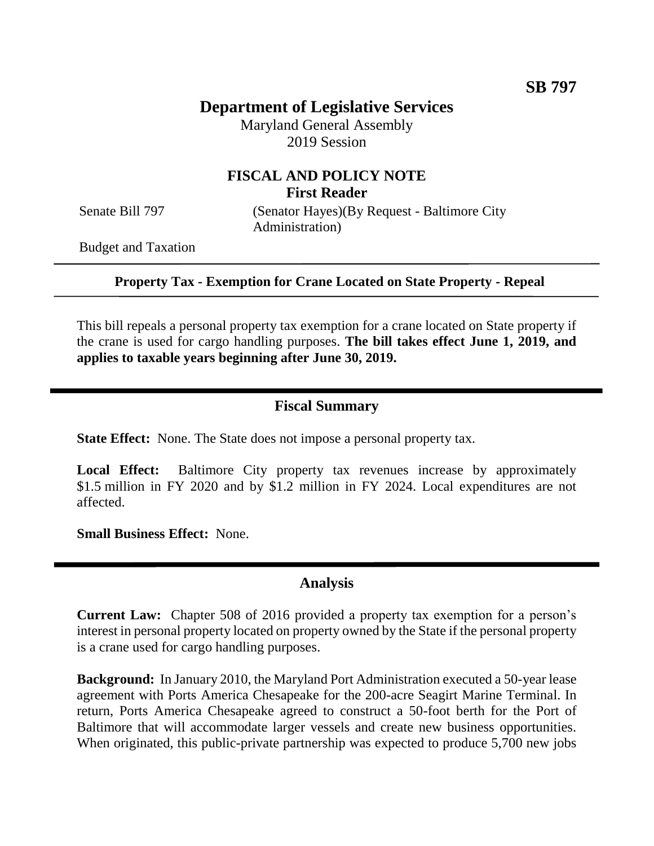# **Department of Legislative Services**

Maryland General Assembly 2019 Session

## **FISCAL AND POLICY NOTE First Reader**

Senate Bill 797 (Senator Hayes)(By Request - Baltimore City Administration)

Budget and Taxation

**Property Tax - Exemption for Crane Located on State Property - Repeal**

This bill repeals a personal property tax exemption for a crane located on State property if the crane is used for cargo handling purposes. **The bill takes effect June 1, 2019, and applies to taxable years beginning after June 30, 2019.** 

#### **Fiscal Summary**

**State Effect:** None. The State does not impose a personal property tax.

**Local Effect:** Baltimore City property tax revenues increase by approximately \$1.5 million in FY 2020 and by \$1.2 million in FY 2024. Local expenditures are not affected.

**Small Business Effect:** None.

#### **Analysis**

**Current Law:** Chapter 508 of 2016 provided a property tax exemption for a person's interest in personal property located on property owned by the State if the personal property is a crane used for cargo handling purposes.

**Background:** In January 2010, the Maryland Port Administration executed a 50-year lease agreement with Ports America Chesapeake for the 200-acre Seagirt Marine Terminal. In return, Ports America Chesapeake agreed to construct a 50-foot berth for the Port of Baltimore that will accommodate larger vessels and create new business opportunities. When originated, this public-private partnership was expected to produce 5,700 new jobs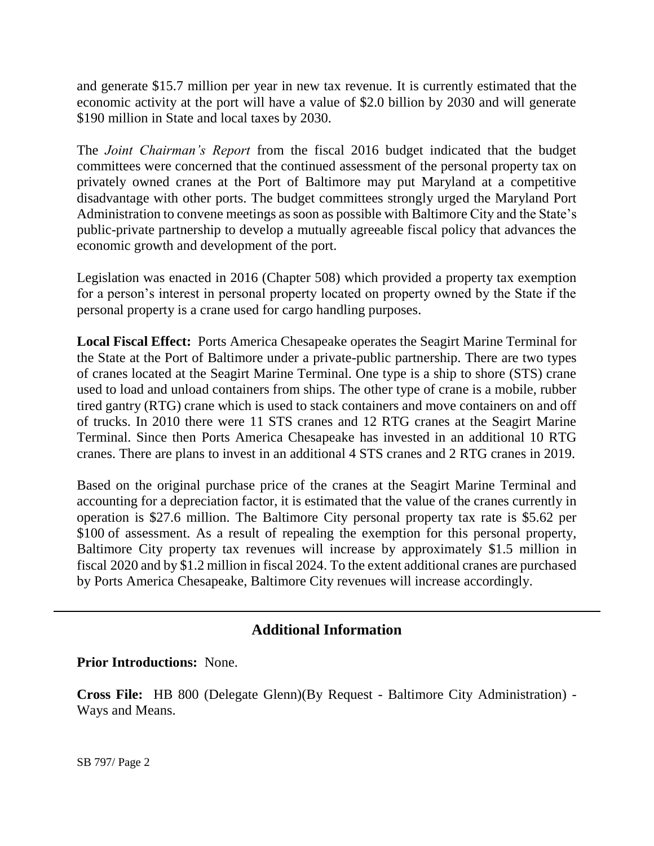and generate \$15.7 million per year in new tax revenue. It is currently estimated that the economic activity at the port will have a value of \$2.0 billion by 2030 and will generate \$190 million in State and local taxes by 2030.

The *Joint Chairman's Report* from the fiscal 2016 budget indicated that the budget committees were concerned that the continued assessment of the personal property tax on privately owned cranes at the Port of Baltimore may put Maryland at a competitive disadvantage with other ports. The budget committees strongly urged the Maryland Port Administration to convene meetings as soon as possible with Baltimore City and the State's public-private partnership to develop a mutually agreeable fiscal policy that advances the economic growth and development of the port.

Legislation was enacted in 2016 (Chapter 508) which provided a property tax exemption for a person's interest in personal property located on property owned by the State if the personal property is a crane used for cargo handling purposes.

**Local Fiscal Effect:** Ports America Chesapeake operates the Seagirt Marine Terminal for the State at the Port of Baltimore under a private-public partnership. There are two types of cranes located at the Seagirt Marine Terminal. One type is a ship to shore (STS) crane used to load and unload containers from ships. The other type of crane is a mobile, rubber tired gantry (RTG) crane which is used to stack containers and move containers on and off of trucks. In 2010 there were 11 STS cranes and 12 RTG cranes at the Seagirt Marine Terminal. Since then Ports America Chesapeake has invested in an additional 10 RTG cranes. There are plans to invest in an additional 4 STS cranes and 2 RTG cranes in 2019.

Based on the original purchase price of the cranes at the Seagirt Marine Terminal and accounting for a depreciation factor, it is estimated that the value of the cranes currently in operation is \$27.6 million. The Baltimore City personal property tax rate is \$5.62 per \$100 of assessment. As a result of repealing the exemption for this personal property, Baltimore City property tax revenues will increase by approximately \$1.5 million in fiscal 2020 and by \$1.2 million in fiscal 2024. To the extent additional cranes are purchased by Ports America Chesapeake, Baltimore City revenues will increase accordingly.

## **Additional Information**

### **Prior Introductions:** None.

**Cross File:** HB 800 (Delegate Glenn)(By Request - Baltimore City Administration) - Ways and Means.